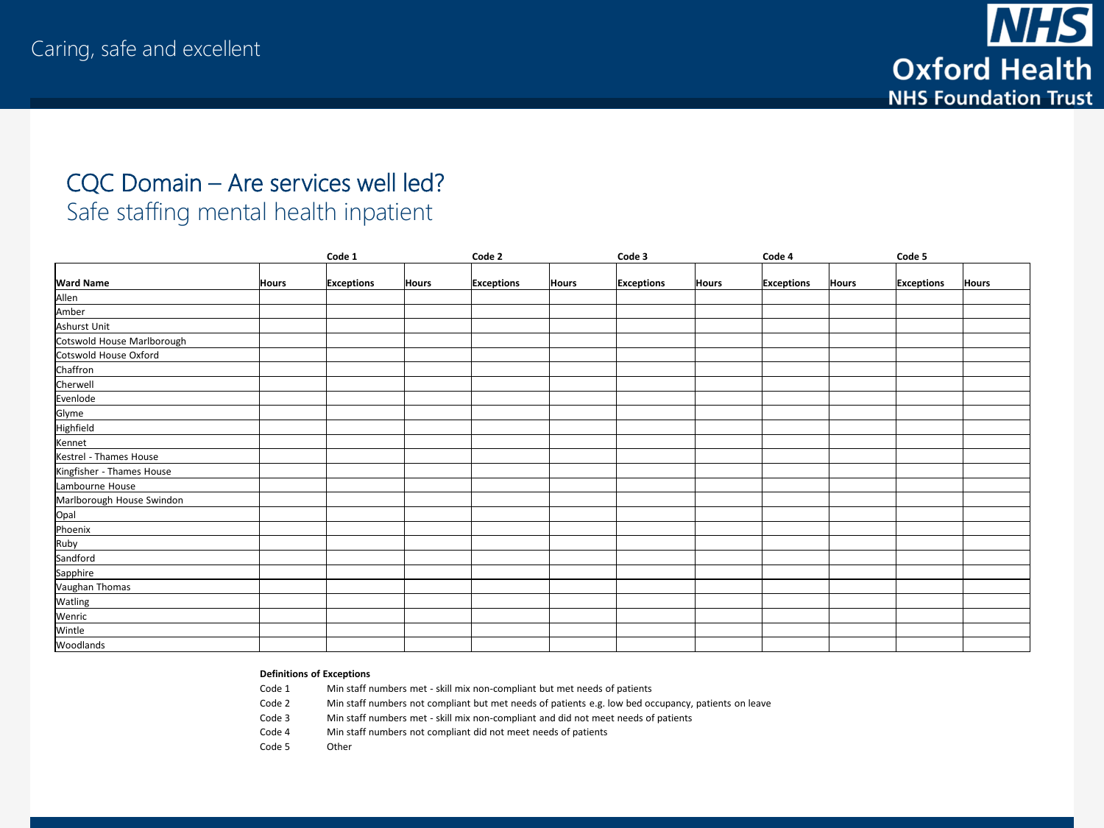

### CQC Domain – Are services well led? Safe staffing mental health inpatient

|                                |              | Code 1            |              | Code 2            |              | Code 3            |              | Code 4            |              | Code 5            |              |
|--------------------------------|--------------|-------------------|--------------|-------------------|--------------|-------------------|--------------|-------------------|--------------|-------------------|--------------|
|                                |              |                   |              |                   |              |                   |              |                   |              |                   |              |
| <b>Ward Name</b>               | <b>Hours</b> | <b>Exceptions</b> | <b>Hours</b> | <b>Exceptions</b> | <b>Hours</b> | <b>Exceptions</b> | <b>Hours</b> | <b>Exceptions</b> | <b>Hours</b> | <b>Exceptions</b> | <b>Hours</b> |
| Allen                          |              |                   |              |                   |              |                   |              |                   |              |                   |              |
| Amber                          |              |                   |              |                   |              |                   |              |                   |              |                   |              |
| Ashurst Unit                   |              |                   |              |                   |              |                   |              |                   |              |                   |              |
| Cotswold House Marlborough     |              |                   |              |                   |              |                   |              |                   |              |                   |              |
| Cotswold House Oxford          |              |                   |              |                   |              |                   |              |                   |              |                   |              |
| Chaffron                       |              |                   |              |                   |              |                   |              |                   |              |                   |              |
| Cherwell                       |              |                   |              |                   |              |                   |              |                   |              |                   |              |
|                                |              |                   |              |                   |              |                   |              |                   |              |                   |              |
|                                |              |                   |              |                   |              |                   |              |                   |              |                   |              |
| Evenlode<br>Glyme<br>Highfield |              |                   |              |                   |              |                   |              |                   |              |                   |              |
| Kennet                         |              |                   |              |                   |              |                   |              |                   |              |                   |              |
| Kestrel - Thames House         |              |                   |              |                   |              |                   |              |                   |              |                   |              |
| Kingfisher - Thames House      |              |                   |              |                   |              |                   |              |                   |              |                   |              |
| Lambourne House                |              |                   |              |                   |              |                   |              |                   |              |                   |              |
| Marlborough House Swindon      |              |                   |              |                   |              |                   |              |                   |              |                   |              |
|                                |              |                   |              |                   |              |                   |              |                   |              |                   |              |
|                                |              |                   |              |                   |              |                   |              |                   |              |                   |              |
| Opal<br>Phoenix<br>Ruby        |              |                   |              |                   |              |                   |              |                   |              |                   |              |
| Sandford                       |              |                   |              |                   |              |                   |              |                   |              |                   |              |
| Sapphire                       |              |                   |              |                   |              |                   |              |                   |              |                   |              |
| Vaughan Thomas                 |              |                   |              |                   |              |                   |              |                   |              |                   |              |
| Watling                        |              |                   |              |                   |              |                   |              |                   |              |                   |              |
| Wenric                         |              |                   |              |                   |              |                   |              |                   |              |                   |              |
| Wintle                         |              |                   |              |                   |              |                   |              |                   |              |                   |              |
| Woodlands                      |              |                   |              |                   |              |                   |              |                   |              |                   |              |

#### **Definitions of Exceptions**

Code 1 Min staff numbers met - skill mix non-compliant but met needs of patients

Code 2 Min staff numbers not compliant but met needs of patients e.g. low bed occupancy, patients on leave

Code 3 Min staff numbers met - skill mix non-compliant and did not meet needs of patients

Code 4 Min staff numbers not compliant did not meet needs of patients

Code 5 Other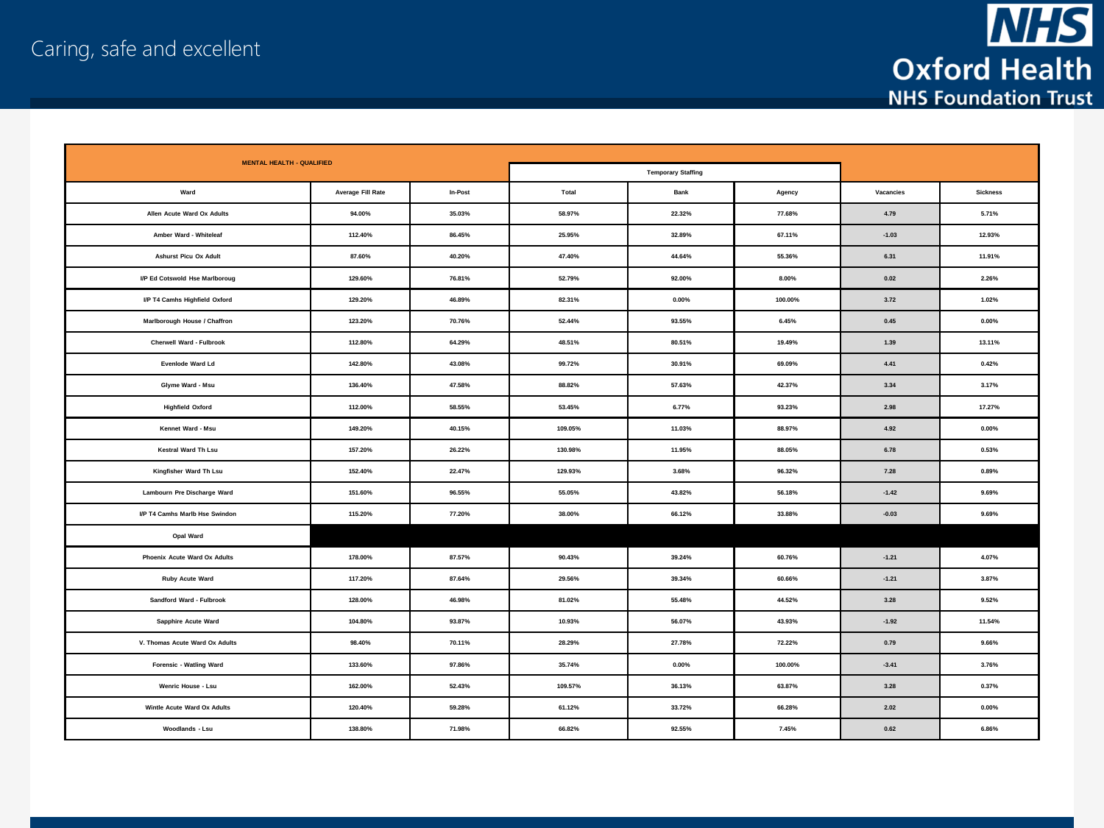

| <b>MENTAL HEALTH - QUALIFIED</b>      |                   |         |         |                           |          |            |                 |
|---------------------------------------|-------------------|---------|---------|---------------------------|----------|------------|-----------------|
|                                       |                   |         |         | <b>Temporary Staffing</b> |          |            |                 |
| Ward                                  | Average Fill Rate | In-Post | Total   | <b>Bank</b>               | Agency   | Vacancies  | <b>Sickness</b> |
| Allen Acute Ward Ox Adults            | 94.00%            | 35.03%  | 58.97%  | 22.32%                    | 77.68%   | 4.79       | 5.71%           |
| Amber Ward - Whiteleaf                | 112.40%           | 86.45%  | 25.95%  | 32.89%                    | 67.11%   | $-1.03$    | 12.93%          |
| <b>Ashurst Picu Ox Adult</b>          | 87.60%            | 40.20%  | 47.40%  | 44.64%                    | 55.36%   | 6.31       | 11.91%          |
| I/P Ed Cotswold Hse Marlboroug        | 129.60%           | 76.81%  | 52.79%  | 92.00%                    | $8.00\%$ | $\bf 0.02$ | 2.26%           |
| I/P T4 Camhs Highfield Oxford         | 129.20%           | 46.89%  | 82.31%  | $0.00\%$                  | 100.00%  | 3.72       | 1.02%           |
| Marlborough House / Chaffron          | 123.20%           | 70.76%  | 52.44%  | 93.55%                    | 6.45%    | 0.45       | $0.00\%$        |
| Cherwell Ward - Fulbrook              | 112.80%           | 64.29%  | 48.51%  | 80.51%                    | 19.49%   | 1.39       | 13.11%          |
| Evenlode Ward Ld                      | 142.80%           | 43.08%  | 99.72%  | 30.91%                    | 69.09%   | 4.41       | 0.42%           |
| Glyme Ward - Msu                      | 136,40%           | 47.58%  | 88.82%  | 57.63%                    | 42.37%   | 3.34       | 3.17%           |
| <b>Highfield Oxford</b>               | 112.00%           | 58.55%  | 53.45%  | 6.77%                     | 93.23%   | 2.98       | 17.27%          |
| Kennet Ward - Msu                     | 149.20%           | 40.15%  | 109.05% | 11.03%                    | 88.97%   | 4.92       | $0.00\%$        |
| <b>Kestral Ward Th Lsu</b>            | 157.20%           | 26.22%  | 130.98% | 11.95%                    | 88.05%   | 6.78       | 0.53%           |
| Kingfisher Ward Th Lsu                | 152.40%           | 22.47%  | 129.93% | 3.68%                     | 96.32%   | 7.28       | 0.89%           |
| Lambourn Pre Discharge Ward           | 151.60%           | 96.55%  | 55.05%  | 43.82%                    | 56.18%   | $-1.42$    | 9.69%           |
| <b>I/P T4 Camhs Marlb Hse Swindon</b> | 115.20%           | 77.20%  | 38.00%  | 66.12%                    | 33.88%   | $-0.03$    | 9.69%           |
| Opal Ward                             |                   |         |         |                           |          |            |                 |
| Phoenix Acute Ward Ox Adults          | 178.00%           | 87.57%  | 90.43%  | 39.24%                    | 60.76%   | $-1.21$    | 4.07%           |
| Ruby Acute Ward                       | 117.20%           | 87.64%  | 29.56%  | 39.34%                    | 60.66%   | $-1.21$    | 3.87%           |
| Sandford Ward - Fulbrook              | 128.00%           | 46.98%  | 81.02%  | 55.48%                    | 44.52%   | 3.28       | 9.52%           |
| Sapphire Acute Ward                   | 104.80%           | 93.87%  | 10.93%  | 56.07%                    | 43.93%   | $-1.92$    | 11.54%          |
| V. Thomas Acute Ward Ox Adults        | 98.40%            | 70.11%  | 28.29%  | 27.78%                    | 72.22%   | 0.79       | 9.66%           |
| Forensic - Watling Ward               | 133.60%           | 97.86%  | 35.74%  | $0.00\%$                  | 100.00%  | $-3.41$    | 3.76%           |
| Wenric House - Lsu                    | 162.00%           | 52.43%  | 109.57% | 36.13%                    | 63.87%   | 3.28       | 0.37%           |
| Wintle Acute Ward Ox Adults           | 120.40%           | 59.28%  | 61.12%  | 33.72%                    | 66.28%   | 2.02       | $0.00\%$        |
| Woodlands - Lsu                       | 138.80%           | 71.98%  | 66.82%  | 92.55%                    | 7.45%    | 0.62       | 6.86%           |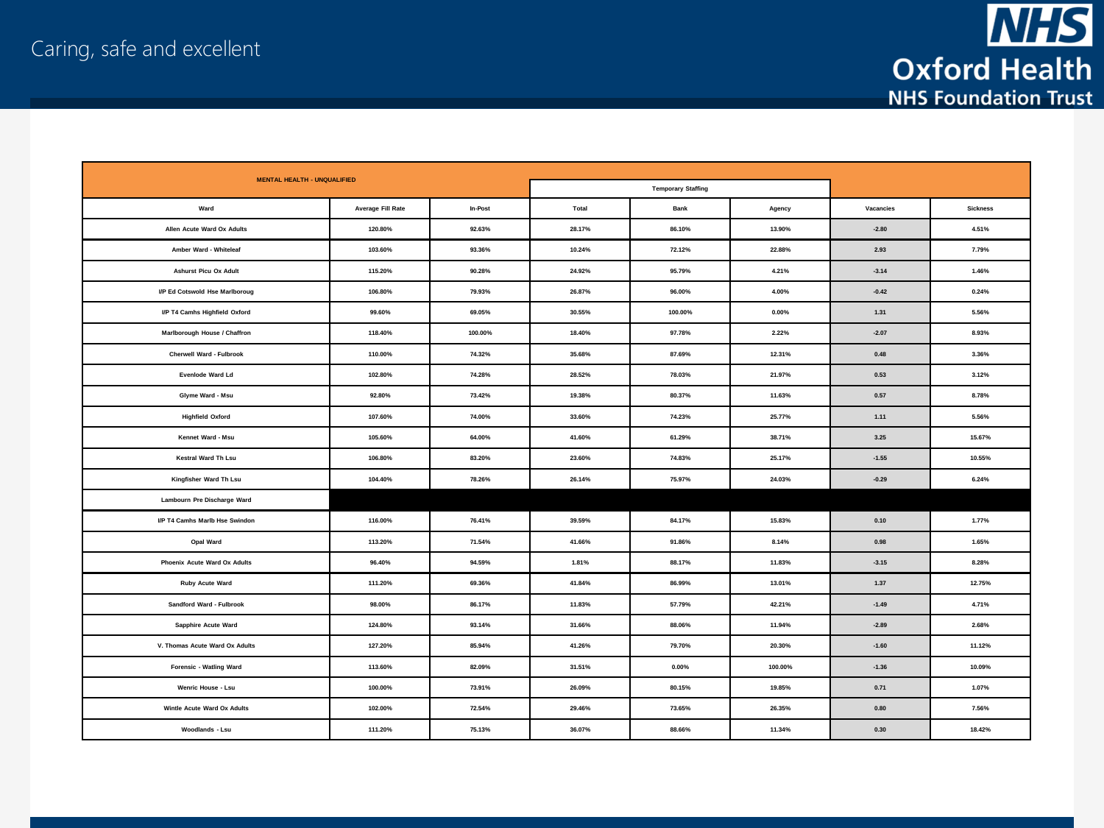

| <b>MENTAL HEALTH - UNQUALIFIED</b>   |                   |         |        |                           |          |           |                 |  |
|--------------------------------------|-------------------|---------|--------|---------------------------|----------|-----------|-----------------|--|
|                                      |                   |         |        | <b>Temporary Staffing</b> |          |           |                 |  |
| Ward                                 | Average Fill Rate | In-Post | Total  | Bank                      | Agency   | Vacancies | <b>Sickness</b> |  |
| Allen Acute Ward Ox Adults           | 120.80%           | 92.63%  | 28.17% | 86.10%                    | 13.90%   | $-2.80$   | 4.51%           |  |
| Amber Ward - Whiteleaf               | 103.60%           | 93.36%  | 10.24% | 72.12%                    | 22.88%   | 2.93      | 7.79%           |  |
| <b>Ashurst Picu Ox Adult</b>         | 115.20%           | 90.28%  | 24.92% | 95.79%                    | 4.21%    | $-3.14$   | 1.46%           |  |
| I/P Ed Cotswold Hse Marlboroug       | 106.80%           | 79.93%  | 26.87% | 96.00%                    | 4.00%    | $-0.42$   | 0.24%           |  |
| <b>I/P T4 Camhs Highfield Oxford</b> | 99.60%            | 69.05%  | 30.55% | 100.00%                   | $0.00\%$ | 1.31      | 5.56%           |  |
| Marlborough House / Chaffron         | 118.40%           | 100.00% | 18.40% | 97.78%                    | 2.22%    | $-2.07$   | 8.93%           |  |
| Cherwell Ward - Fulbrook             | 110.00%           | 74.32%  | 35.68% | 87.69%                    | 12.31%   | 0.48      | 3.36%           |  |
| Evenlode Ward Ld                     | 102.80%           | 74.28%  | 28.52% | 78.03%                    | 21.97%   | 0.53      | 3.12%           |  |
| Glyme Ward - Msu                     | 92.80%            | 73.42%  | 19.38% | 80.37%                    | 11.63%   | 0.57      | 8.78%           |  |
| <b>Highfield Oxford</b>              | 107.60%           | 74.00%  | 33.60% | 74.23%                    | 25.77%   | 1.11      | 5.56%           |  |
| Kennet Ward - Msu                    | 105.60%           | 64.00%  | 41.60% | 61.29%                    | 38.71%   | 3.25      | 15.67%          |  |
| Kestral Ward Th Lsu                  | 106.80%           | 83.20%  | 23.60% | 74.83%                    | 25.17%   | $-1.55$   | 10.55%          |  |
| Kingfisher Ward Th Lsu               | 104.40%           | 78.26%  | 26.14% | 75.97%                    | 24.03%   | $-0.29$   | 6.24%           |  |
| Lambourn Pre Discharge Ward          |                   |         |        |                           |          |           |                 |  |
| <b>VP T4 Camhs Marlb Hse Swindon</b> | 116.00%           | 76.41%  | 39.59% | 84.17%                    | 15.83%   | 0.10      | 1.77%           |  |
| Opal Ward                            | 113.20%           | 71.54%  | 41.66% | 91.86%                    | 8.14%    | 0.98      | 1.65%           |  |
| Phoenix Acute Ward Ox Adults         | 96.40%            | 94.59%  | 1.81%  | 88.17%                    | 11.83%   | $-3.15$   | 8.28%           |  |
| Ruby Acute Ward                      | 111.20%           | 69.36%  | 41.84% | 86.99%                    | 13.01%   | 1.37      | 12.75%          |  |
| Sandford Ward - Fulbrook             | 98.00%            | 86.17%  | 11.83% | 57.79%                    | 42.21%   | $-1.49$   | 4.71%           |  |
| Sapphire Acute Ward                  | 124.80%           | 93.14%  | 31.66% | 88.06%                    | 11.94%   | $-2.89$   | 2.68%           |  |
| V. Thomas Acute Ward Ox Adults       | 127.20%           | 85.94%  | 41.26% | 79.70%                    | 20.30%   | $-1.60$   | 11.12%          |  |
| Forensic - Watling Ward              | 113.60%           | 82.09%  | 31.51% | $0.00\%$                  | 100.00%  | $-1.36$   | 10.09%          |  |
| Wenric House - Lsu                   | 100.00%           | 73.91%  | 26.09% | 80.15%                    | 19.85%   | 0.71      | 1.07%           |  |
| Wintle Acute Ward Ox Adults          | 102.00%           | 72.54%  | 29.46% | 73.65%                    | 26.35%   | 0.80      | 7.56%           |  |
| Woodlands - Lsu                      | 111.20%           | 75.13%  | 36.07% | 88.66%                    | 11.34%   | 0.30      | 18.42%          |  |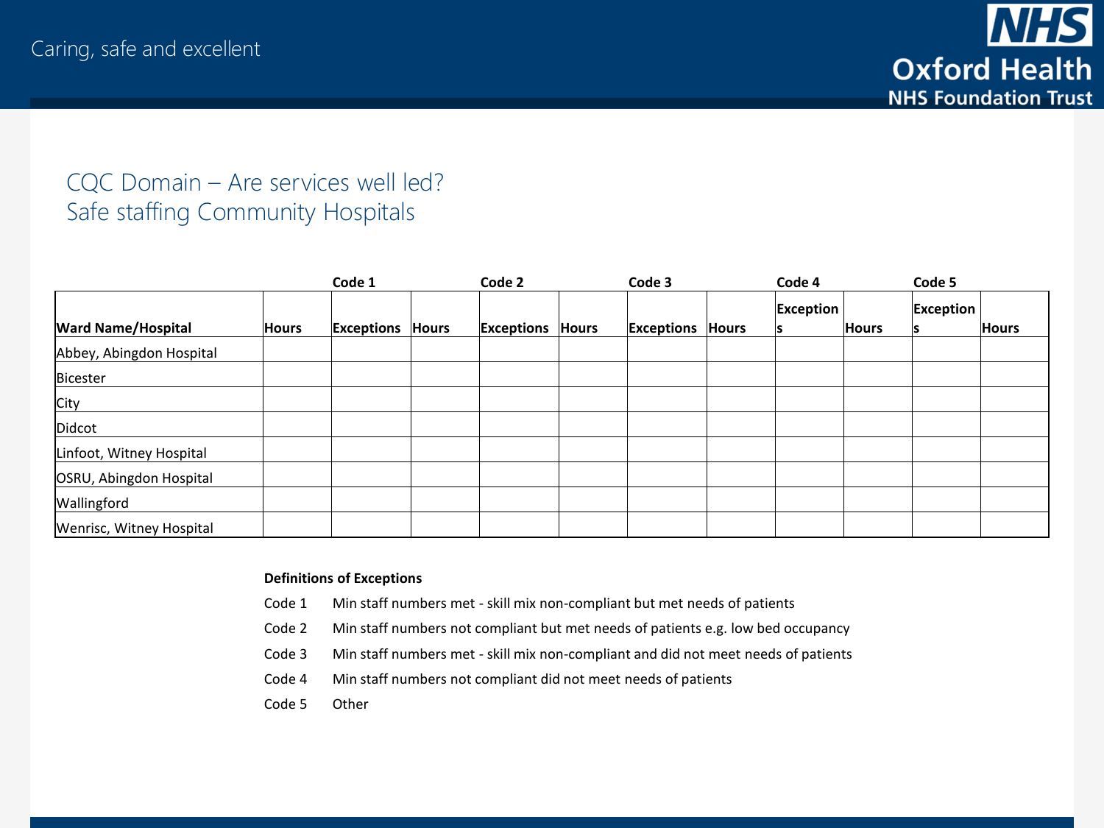## CQC Domain – Are services well led? Safe staffing Community Hospitals

|                           |              | Code 1     |              | Code 2     |       | Code 3                  | Code 4    |              | Code 5           |              |
|---------------------------|--------------|------------|--------------|------------|-------|-------------------------|-----------|--------------|------------------|--------------|
| <b>Ward Name/Hospital</b> | <b>Hours</b> | Exceptions | <b>Hours</b> | Exceptions | Hours | <b>Exceptions Hours</b> | Exception | <b>Hours</b> | <b>Exception</b> | <b>Hours</b> |
| Abbey, Abingdon Hospital  |              |            |              |            |       |                         |           |              |                  |              |
| Bicester                  |              |            |              |            |       |                         |           |              |                  |              |
| City                      |              |            |              |            |       |                         |           |              |                  |              |
| Didcot                    |              |            |              |            |       |                         |           |              |                  |              |
| Linfoot, Witney Hospital  |              |            |              |            |       |                         |           |              |                  |              |
| OSRU, Abingdon Hospital   |              |            |              |            |       |                         |           |              |                  |              |
| Wallingford               |              |            |              |            |       |                         |           |              |                  |              |
| Wenrisc, Witney Hospital  |              |            |              |            |       |                         |           |              |                  |              |

#### **Definitions of Exceptions**

- Code 1 Min staff numbers met skill mix non-compliant but met needs of patients
- Code 2 Min staff numbers not compliant but met needs of patients e.g. low bed occupancy
- Code 3 Min staff numbers met skill mix non-compliant and did not meet needs of patients
- Code 4 Min staff numbers not compliant did not meet needs of patients
- Code 5 Other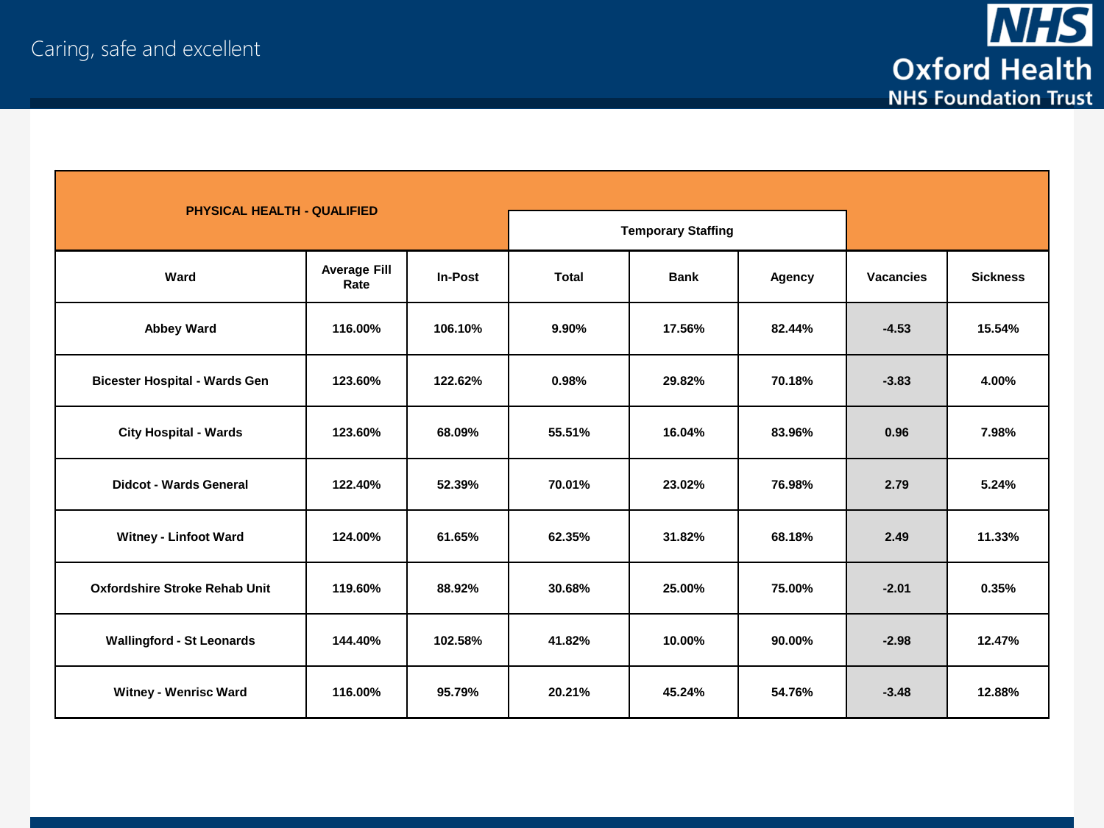

| <b>PHYSICAL HEALTH - QUALIFIED</b>   |                             |                |        |             |                           |                  |                 |  |  |
|--------------------------------------|-----------------------------|----------------|--------|-------------|---------------------------|------------------|-----------------|--|--|
|                                      |                             |                |        |             | <b>Temporary Staffing</b> |                  |                 |  |  |
| Ward                                 | <b>Average Fill</b><br>Rate | <b>In-Post</b> | Total  | <b>Bank</b> | Agency                    | <b>Vacancies</b> | <b>Sickness</b> |  |  |
| <b>Abbey Ward</b>                    | 116.00%                     | 106.10%        | 9.90%  | 17.56%      | 82.44%                    | $-4.53$          | 15.54%          |  |  |
| <b>Bicester Hospital - Wards Gen</b> | 123.60%                     | 122.62%        | 0.98%  | 29.82%      | 70.18%                    | $-3.83$          | 4.00%           |  |  |
| <b>City Hospital - Wards</b>         | 123.60%                     | 68.09%         | 55.51% | 16.04%      | 83.96%                    | 0.96             | 7.98%           |  |  |
| <b>Didcot - Wards General</b>        | 122.40%                     | 52.39%         | 70.01% | 23.02%      | 76.98%                    | 2.79             | 5.24%           |  |  |
| <b>Witney - Linfoot Ward</b>         | 124.00%                     | 61.65%         | 62.35% | 31.82%      | 68.18%                    | 2.49             | 11.33%          |  |  |
| <b>Oxfordshire Stroke Rehab Unit</b> | 119.60%                     | 88.92%         | 30.68% | 25.00%      | 75.00%                    | $-2.01$          | 0.35%           |  |  |
| <b>Wallingford - St Leonards</b>     | 144.40%                     | 102.58%        | 41.82% | 10.00%      | 90.00%                    | $-2.98$          | 12.47%          |  |  |
| <b>Witney - Wenrisc Ward</b>         | 116.00%                     | 95.79%         | 20.21% | 45.24%      | 54.76%                    | $-3.48$          | 12.88%          |  |  |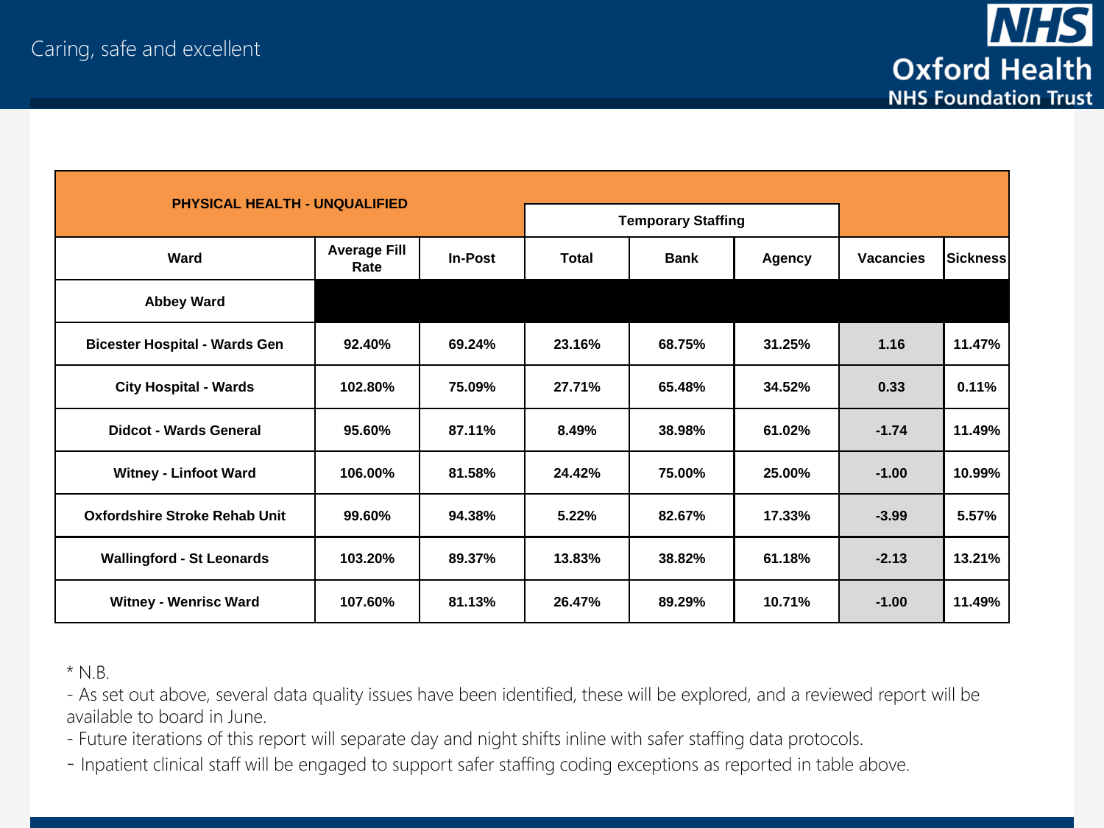

| <b>PHYSICAL HEALTH - UNQUALIFIED</b> |                             |                |              |                           |               |                  |                 |
|--------------------------------------|-----------------------------|----------------|--------------|---------------------------|---------------|------------------|-----------------|
|                                      |                             |                |              | <b>Temporary Staffing</b> |               |                  |                 |
| Ward                                 | <b>Average Fill</b><br>Rate | <b>In-Post</b> | <b>Total</b> | <b>Bank</b>               | <b>Agency</b> | <b>Vacancies</b> | <b>Sickness</b> |
| <b>Abbey Ward</b>                    |                             |                |              |                           |               |                  |                 |
| <b>Bicester Hospital - Wards Gen</b> | 92.40%                      | 69.24%         | 23.16%       | 68.75%                    | 31.25%        | 1.16             | 11.47%          |
| <b>City Hospital - Wards</b>         | 102.80%                     | 75.09%         | 27.71%       | 65.48%                    | 34.52%        | 0.33             | 0.11%           |
| Didcot - Wards General               | 95.60%                      | 87.11%         | 8.49%        | 38.98%                    | 61.02%        | $-1.74$          | 11.49%          |
| <b>Witney - Linfoot Ward</b>         | 106.00%                     | 81.58%         | 24.42%       | 75.00%                    | 25.00%        | $-1.00$          | 10.99%          |
| Oxfordshire Stroke Rehab Unit        | 99.60%                      | 94.38%         | 5.22%        | 82.67%                    | 17.33%        | $-3.99$          | 5.57%           |
| <b>Wallingford - St Leonards</b>     | 103.20%                     | 89.37%         | 13.83%       | 38.82%                    | 61.18%        | $-2.13$          | 13.21%          |
| <b>Witney - Wenrisc Ward</b>         | 107.60%                     | 81.13%         | 26.47%       | 89.29%                    | 10.71%        | $-1.00$          | 11.49%          |

\* N.B.

- As set out above, several data quality issues have been identified, these will be explored, and a reviewed report will be available to board in June.

- Future iterations of this report will separate day and night shifts inline with safer staffing data protocols.

- Inpatient clinical staff will be engaged to support safer staffing coding exceptions as reported in table above.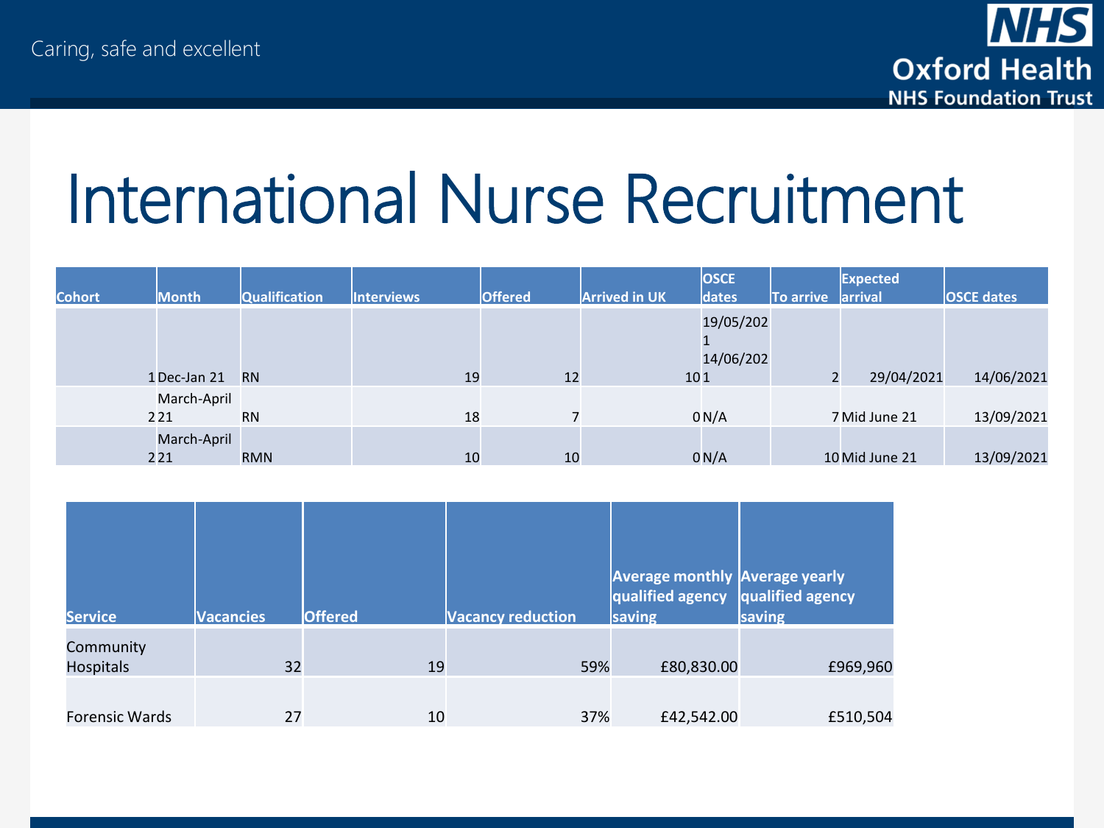

## International Nurse Recruitment

|               |              |                      |                   |                |                      | <b>OSCE</b> |                   | Expected       |                   |
|---------------|--------------|----------------------|-------------------|----------------|----------------------|-------------|-------------------|----------------|-------------------|
| <b>Cohort</b> | <b>Month</b> | <b>Qualification</b> | <b>Interviews</b> | <b>Offered</b> | <b>Arrived in UK</b> | dates       | To arrive arrival |                | <b>OSCE dates</b> |
|               |              |                      |                   |                |                      | 19/05/202   |                   |                |                   |
|               |              |                      |                   |                |                      | 14/06/202   |                   |                |                   |
|               | 1 Dec-Jan 21 | <b>RN</b>            | 19                | 12             | 101                  |             | ∠                 | 29/04/2021     | 14/06/2021        |
|               | March-April  |                      |                   |                |                      |             |                   |                |                   |
|               | 221          | <b>RN</b>            | 18                |                |                      | 0 N/A       |                   | 7 Mid June 21  | 13/09/2021        |
|               | March-April  |                      |                   |                |                      |             |                   |                |                   |
|               | 221          | <b>RMN</b>           | 10                | 10             |                      | 0 N/A       |                   | 10 Mid June 21 | 13/09/2021        |

| <b>Service</b>                | <b>Vacancies</b> | <b>Offered</b> | <b>Vacancy reduction</b> | <b>Average monthly Average yearly</b><br>qualified agency qualified agency<br>saving | saving   |
|-------------------------------|------------------|----------------|--------------------------|--------------------------------------------------------------------------------------|----------|
| Community<br><b>Hospitals</b> | 32               | 19             | 59%                      | £80,830.00                                                                           | £969,960 |
| Forensic Wards                | 27               | 10             | 37%                      | £42,542.00                                                                           | £510,504 |